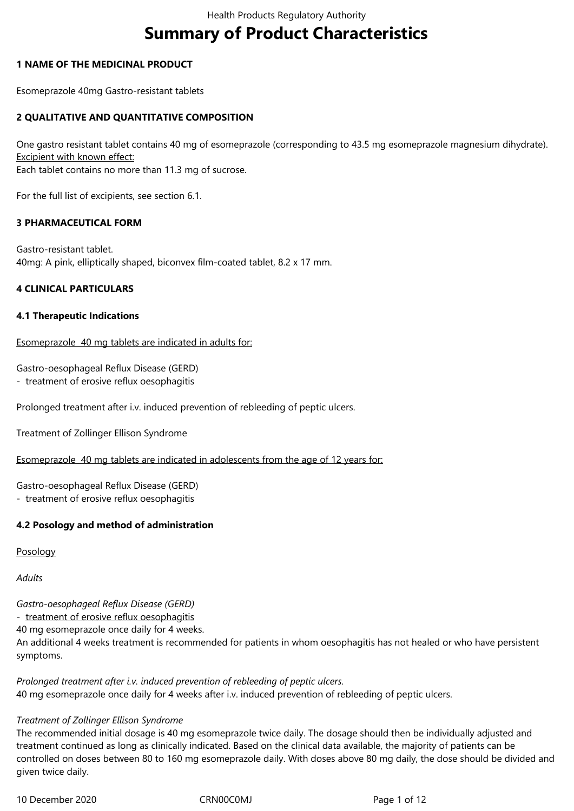# **Summary of Product Characteristics**

# **1 NAME OF THE MEDICINAL PRODUCT**

Esomeprazole 40mg Gastro-resistant tablets

# **2 QUALITATIVE AND QUANTITATIVE COMPOSITION**

One gastro resistant tablet contains 40 mg of esomeprazole (corresponding to 43.5 mg esomeprazole magnesium dihydrate). Excipient with known effect: Each tablet contains no more than 11.3 mg of sucrose.

For the full list of excipients, see section 6.1.

### **3 PHARMACEUTICAL FORM**

Gastro-resistant tablet. 40mg: A pink, elliptically shaped, biconvex film-coated tablet, 8.2 x 17 mm.

### **4 CLINICAL PARTICULARS**

### **4.1 Therapeutic Indications**

Esomeprazole 40 mg tablets are indicated in adults for:

Gastro-oesophageal Reflux Disease (GERD)

- treatment of erosive reflux oesophagitis

Prolonged treatment after i.v. induced prevention of rebleeding of peptic ulcers.

Treatment of Zollinger Ellison Syndrome

Esomeprazole 40 mg tablets are indicated in adolescents from the age of 12 years for:

Gastro-oesophageal Reflux Disease (GERD)

- treatment of erosive reflux oesophagitis

# **4.2 Posology and method of administration**

Posology

*Adults* 

*Gastro-oesophageal Reflux Disease (GERD)*

- treatment of erosive reflux oesophagitis

40 mg esomeprazole once daily for 4 weeks.

An additional 4 weeks treatment is recommended for patients in whom oesophagitis has not healed or who have persistent symptoms.

*Prolonged treatment after i.v. induced prevention of rebleeding of peptic ulcers.* 40 mg esomeprazole once daily for 4 weeks after i.v. induced prevention of rebleeding of peptic ulcers.

### *Treatment of Zollinger Ellison Syndrome*

The recommended initial dosage is 40 mg esomeprazole twice daily. The dosage should then be individually adjusted and treatment continued as long as clinically indicated. Based on the clinical data available, the majority of patients can be controlled on doses between 80 to 160 mg esomeprazole daily. With doses above 80 mg daily, the dose should be divided and given twice daily.

10 December 2020 CRN00C0MJ Page 1 of 12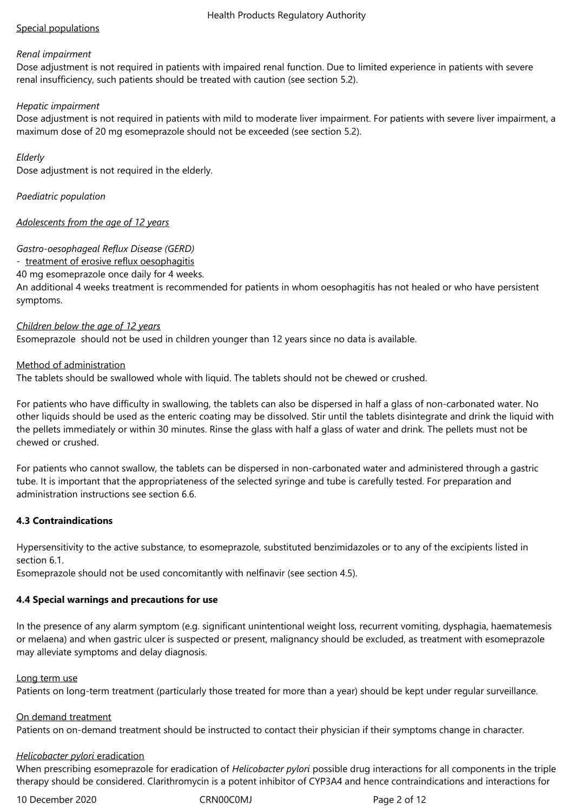# Special populations

### *Renal impairment*

Dose adjustment is not required in patients with impaired renal function. Due to limited experience in patients with severe renal insufficiency, such patients should be treated with caution (see section 5.2).

## *Hepatic impairment*

Dose adjustment is not required in patients with mild to moderate liver impairment. For patients with severe liver impairment, a maximum dose of 20 mg esomeprazole should not be exceeded (see section 5.2).

## *Elderly*

Dose adjustment is not required in the elderly.

*Paediatric population*

# *Adolescents from the age of 12 years*

# *Gastro-oesophageal Reflux Disease (GERD)*

- treatment of erosive reflux oesophagitis

40 mg esomeprazole once daily for 4 weeks.

An additional 4 weeks treatment is recommended for patients in whom oesophagitis has not healed or who have persistent symptoms.

### *Children below the age of 12 years*

Esomeprazole should not be used in children younger than 12 years since no data is available.

### Method of administration

The tablets should be swallowed whole with liquid. The tablets should not be chewed or crushed.

For patients who have difficulty in swallowing, the tablets can also be dispersed in half a glass of non-carbonated water. No other liquids should be used as the enteric coating may be dissolved. Stir until the tablets disintegrate and drink the liquid with the pellets immediately or within 30 minutes. Rinse the glass with half a glass of water and drink. The pellets must not be chewed or crushed.

For patients who cannot swallow, the tablets can be dispersed in non-carbonated water and administered through a gastric tube. It is important that the appropriateness of the selected syringe and tube is carefully tested. For preparation and administration instructions see section 6.6.

# **4.3 Contraindications**

Hypersensitivity to the active substance, to esomeprazole, substituted benzimidazoles or to any of the excipients listed in section 6.1.

Esomeprazole should not be used concomitantly with nelfinavir (see section 4.5).

### **4.4 Special warnings and precautions for use**

In the presence of any alarm symptom (e.g. significant unintentional weight loss, recurrent vomiting, dysphagia, haematemesis or melaena) and when gastric ulcer is suspected or present, malignancy should be excluded, as treatment with esomeprazole may alleviate symptoms and delay diagnosis.

### Long term use

Patients on long-term treatment (particularly those treated for more than a year) should be kept under regular surveillance.

### On demand treatment

Patients on on-demand treatment should be instructed to contact their physician if their symptoms change in character.

### *Helicobacter pylori* eradication

When prescribing esomeprazole for eradication of *Helicobacter pylori* possible drug interactions for all components in the triple therapy should be considered. Clarithromycin is a potent inhibitor of CYP3A4 and hence contraindications and interactions for

10 December 2020 CRN00C0MJ Page 2 of 12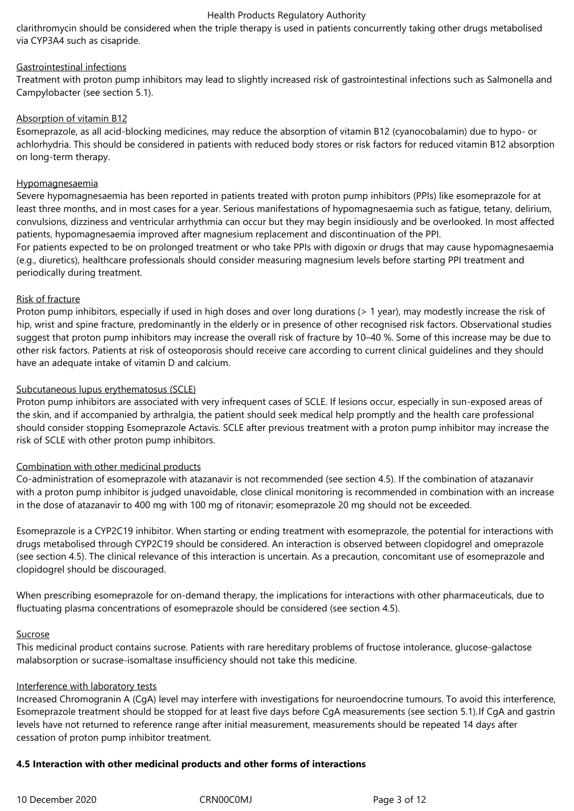### Health Products Regulatory Authority

clarithromycin should be considered when the triple therapy is used in patients concurrently taking other drugs metabolised via CYP3A4 such as cisapride.

# Gastrointestinal infections

Treatment with proton pump inhibitors may lead to slightly increased risk of gastrointestinal infections such as Salmonella and Campylobacter (see section 5.1).

# Absorption of vitamin B12

Esomeprazole, as all acid-blocking medicines, may reduce the absorption of vitamin B12 (cyanocobalamin) due to hypo- or achlorhydria. This should be considered in patients with reduced body stores or risk factors for reduced vitamin B12 absorption on long-term therapy.

# Hypomagnesaemia

Severe hypomagnesaemia has been reported in patients treated with proton pump inhibitors (PPIs) like esomeprazole for at least three months, and in most cases for a year. Serious manifestations of hypomagnesaemia such as fatigue, tetany, delirium, convulsions, dizziness and ventricular arrhythmia can occur but they may begin insidiously and be overlooked. In most affected patients, hypomagnesaemia improved after magnesium replacement and discontinuation of the PPI.

For patients expected to be on prolonged treatment or who take PPIs with digoxin or drugs that may cause hypomagnesaemia (e.g., diuretics), healthcare professionals should consider measuring magnesium levels before starting PPI treatment and periodically during treatment.

# Risk of fracture

Proton pump inhibitors, especially if used in high doses and over long durations (> 1 year), may modestly increase the risk of hip, wrist and spine fracture, predominantly in the elderly or in presence of other recognised risk factors. Observational studies suggest that proton pump inhibitors may increase the overall risk of fracture by 10–40 %. Some of this increase may be due to other risk factors. Patients at risk of osteoporosis should receive care according to current clinical guidelines and they should have an adequate intake of vitamin D and calcium.

# Subcutaneous lupus erythematosus (SCLE)

Proton pump inhibitors are associated with very infrequent cases of SCLE. If lesions occur, especially in sun-exposed areas of the skin, and if accompanied by arthralgia, the patient should seek medical help promptly and the health care professional should consider stopping Esomeprazole Actavis. SCLE after previous treatment with a proton pump inhibitor may increase the risk of SCLE with other proton pump inhibitors.

### Combination with other medicinal products

Co‑administration of esomeprazole with atazanavir is not recommended (see section 4.5). If the combination of atazanavir with a proton pump inhibitor is judged unavoidable, close clinical monitoring is recommended in combination with an increase in the dose of atazanavir to 400 mg with 100 mg of ritonavir; esomeprazole 20 mg should not be exceeded.

Esomeprazole is a CYP2C19 inhibitor. When starting or ending treatment with esomeprazole, the potential for interactions with drugs metabolised through CYP2C19 should be considered. An interaction is observed between clopidogrel and omeprazole (see section 4.5). The clinical relevance of this interaction is uncertain. As a precaution, concomitant use of esomeprazole and clopidogrel should be discouraged.

When prescribing esomeprazole for on-demand therapy, the implications for interactions with other pharmaceuticals, due to fluctuating plasma concentrations of esomeprazole should be considered (see section 4.5).

### Sucrose

This medicinal product contains sucrose. Patients with rare hereditary problems of fructose intolerance, glucose-galactose malabsorption or sucrase-isomaltase insufficiency should not take this medicine.

### Interference with laboratory tests

Increased Chromogranin A (CgA) level may interfere with investigations for neuroendocrine tumours. To avoid this interference, Esomeprazole treatment should be stopped for at least five days before CgA measurements (see section 5.1).If CgA and gastrin levels have not returned to reference range after initial measurement, measurements should be repeated 14 days after cessation of proton pump inhibitor treatment.

# **4.5 Interaction with other medicinal products and other forms of interactions**

10 December 2020 CRN00C0MJ Page 3 of 12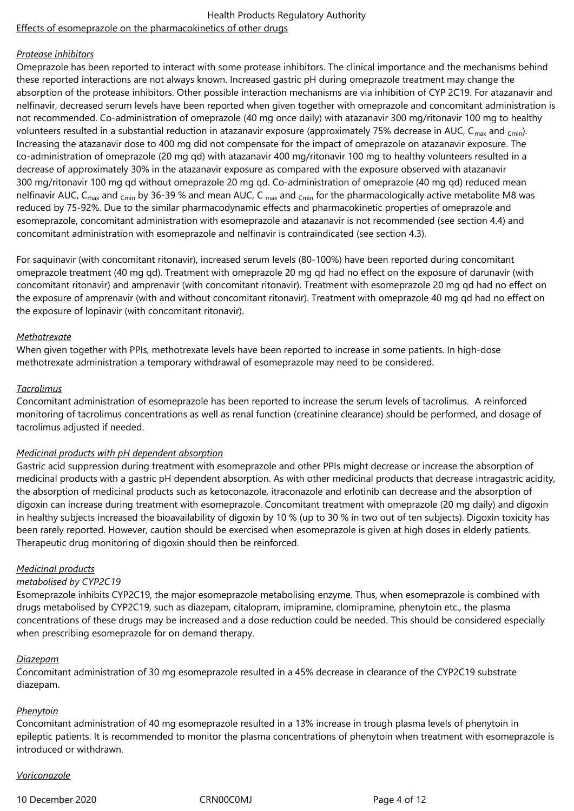#### Health Products Regulatory Authority Effects of esomeprazole on the pharmacokinetics of other drugs

## *Protease inhibitors*

Omeprazole has been reported to interact with some protease inhibitors. The clinical importance and the mechanisms behind these reported interactions are not always known. Increased gastric pH during omeprazole treatment may change the absorption of the protease inhibitors. Other possible interaction mechanisms are via inhibition of CYP 2C19. For atazanavir and nelfinavir, decreased serum levels have been reported when given together with omeprazole and concomitant administration is not recommended. Co‑administration of omeprazole (40 mg once daily) with atazanavir 300 mg/ritonavir 100 mg to healthy volunteers resulted in a substantial reduction in atazanavir exposure (approximately 75% decrease in AUC,  $C_{\text{max}}$  and  $_{\text{Cmin}}$ ). Increasing the atazanavir dose to 400 mg did not compensate for the impact of omeprazole on atazanavir exposure. The co-administration of omeprazole (20 mg qd) with atazanavir 400 mg/ritonavir 100 mg to healthy volunteers resulted in a decrease of approximately 30% in the atazanavir exposure as compared with the exposure observed with atazanavir 300 mg/ritonavir 100 mg qd without omeprazole 20 mg qd. Co‑administration of omeprazole (40 mg qd) reduced mean nelfinavir AUC, C<sub>max</sub> and <sub>Cmin</sub> by 36-39 % and mean AUC, C <sub>max</sub> and <sub>Cmin</sub> for the pharmacologically active metabolite M8 was reduced by 75‑92%. Due to the similar pharmacodynamic effects and pharmacokinetic properties of omeprazole and esomeprazole, concomitant administration with esomeprazole and atazanavir is not recommended (see section 4.4) and concomitant administration with esomeprazole and nelfinavir is contraindicated (see section 4.3).

For saquinavir (with concomitant ritonavir), increased serum levels (80‑100%) have been reported during concomitant omeprazole treatment (40 mg qd). Treatment with omeprazole 20 mg qd had no effect on the exposure of darunavir (with concomitant ritonavir) and amprenavir (with concomitant ritonavir). Treatment with esomeprazole 20 mg qd had no effect on the exposure of amprenavir (with and without concomitant ritonavir). Treatment with omeprazole 40 mg qd had no effect on the exposure of lopinavir (with concomitant ritonavir).

# *Methotrexate*

When given together with PPIs, methotrexate levels have been reported to increase in some patients. In high-dose methotrexate administration a temporary withdrawal of esomeprazole may need to be considered.

### *Tacrolimus*

Concomitant administration of esomeprazole has been reported to increase the serum levels of tacrolimus. A reinforced monitoring of tacrolimus concentrations as well as renal function (creatinine clearance) should be performed, and dosage of tacrolimus adjusted if needed.

### *Medicinal products with pH dependent absorption*

Gastric acid suppression during treatment with esomeprazole and other PPIs might decrease or increase the absorption of medicinal products with a gastric pH dependent absorption. As with other medicinal products that decrease intragastric acidity, the absorption of medicinal products such as ketoconazole, itraconazole and erlotinib can decrease and the absorption of digoxin can increase during treatment with esomeprazole. Concomitant treatment with omeprazole (20 mg daily) and digoxin in healthy subjects increased the bioavailability of digoxin by 10 % (up to 30 % in two out of ten subjects). Digoxin toxicity has been rarely reported. However, caution should be exercised when esomeprazole is given at high doses in elderly patients. Therapeutic drug monitoring of digoxin should then be reinforced.

### *Medicinal products*

# *metabolised by CYP2C19*

Esomeprazole inhibits CYP2C19, the major esomeprazole metabolising enzyme. Thus, when esomeprazole is combined with drugs metabolised by CYP2C19, such as diazepam, citalopram, imipramine, clomipramine, phenytoin etc., the plasma concentrations of these drugs may be increased and a dose reduction could be needed. This should be considered especially when prescribing esomeprazole for on demand therapy.

### *Diazepam*

Concomitant administration of 30 mg esomeprazole resulted in a 45% decrease in clearance of the CYP2C19 substrate diazepam.

# *Phenytoin*

Concomitant administration of 40 mg esomeprazole resulted in a 13% increase in trough plasma levels of phenytoin in epileptic patients. It is recommended to monitor the plasma concentrations of phenytoin when treatment with esomeprazole is introduced or withdrawn.

### *Voriconazole*

10 December 2020 CRN00C0MJ Page 4 of 12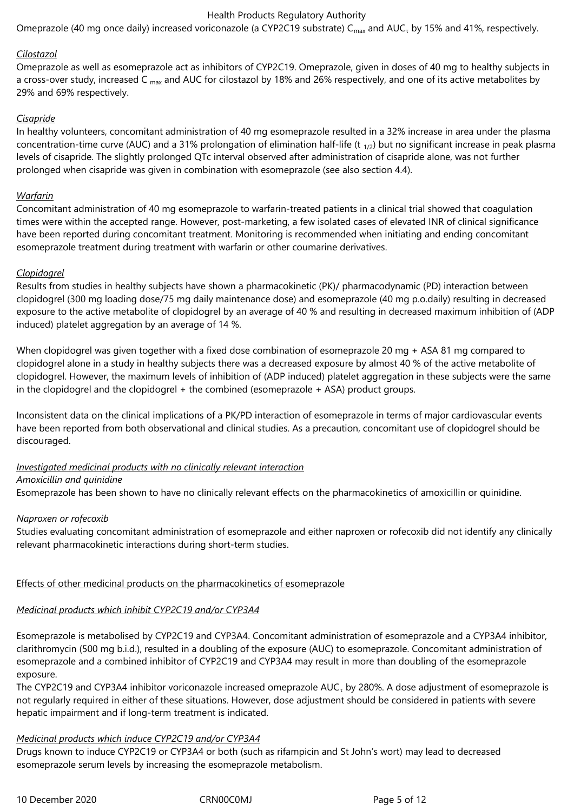### Health Products Regulatory Authority

Omeprazole (40 mg once daily) increased voriconazole (a CYP2C19 substrate) C $_{\sf max}$  and AUC $_{\sf \tau}$  by 15% and 41%, respectively.

### *Cilostazol*

Omeprazole as well as esomeprazole act as inhibitors of CYP2C19. Omeprazole, given in doses of 40 mg to healthy subjects in a cross-over study, increased C  $_{\text{max}}$  and AUC for cilostazol by 18% and 26% respectively, and one of its active metabolites by 29% and 69% respectively.

### *Cisapride*

In healthy volunteers, concomitant administration of 40 mg esomeprazole resulted in a 32% increase in area under the plasma concentration-time curve (AUC) and a 31% prolongation of elimination half-life (t  $_{1/2}$ ) but no significant increase in peak plasma levels of cisapride. The slightly prolonged QTc interval observed after administration of cisapride alone, was not further prolonged when cisapride was given in combination with esomeprazole (see also section 4.4).

### *Warfarin*

Concomitant administration of 40 mg esomeprazole to warfarin-treated patients in a clinical trial showed that coagulation times were within the accepted range. However, post-marketing, a few isolated cases of elevated INR of clinical significance have been reported during concomitant treatment. Monitoring is recommended when initiating and ending concomitant esomeprazole treatment during treatment with warfarin or other coumarine derivatives.

### *Clopidogrel*

Results from studies in healthy subjects have shown a pharmacokinetic (PK)/ pharmacodynamic (PD) interaction between clopidogrel (300 mg loading dose/75 mg daily maintenance dose) and esomeprazole (40 mg p.o.daily) resulting in decreased exposure to the active metabolite of clopidogrel by an average of 40 % and resulting in decreased maximum inhibition of (ADP induced) platelet aggregation by an average of 14 %.

When clopidogrel was given together with a fixed dose combination of esomeprazole 20 mg + ASA 81 mg compared to clopidogrel alone in a study in healthy subjects there was a decreased exposure by almost 40 % of the active metabolite of clopidogrel. However, the maximum levels of inhibition of (ADP induced) platelet aggregation in these subjects were the same in the clopidogrel and the clopidogrel + the combined (esomeprazole + ASA) product groups.

Inconsistent data on the clinical implications of a PK/PD interaction of esomeprazole in terms of major cardiovascular events have been reported from both observational and clinical studies. As a precaution, concomitant use of clopidogrel should be discouraged.

### *Investigated medicinal products with no clinically relevant interaction Amoxicillin and quinidine*

Esomeprazole has been shown to have no clinically relevant effects on the pharmacokinetics of amoxicillin or quinidine.

### *Naproxen or rofecoxib*

Studies evaluating concomitant administration of esomeprazole and either naproxen or rofecoxib did not identify any clinically relevant pharmacokinetic interactions during short-term studies.

### Effects of other medicinal products on the pharmacokinetics of esomeprazole

### *Medicinal products which inhibit CYP2C19 and/or CYP3A4*

Esomeprazole is metabolised by CYP2C19 and CYP3A4. Concomitant administration of esomeprazole and a CYP3A4 inhibitor, clarithromycin (500 mg b.i.d.), resulted in a doubling of the exposure (AUC) to esomeprazole. Concomitant administration of esomeprazole and a combined inhibitor of CYP2C19 and CYP3A4 may result in more than doubling of the esomeprazole exposure.

The CYP2C19 and CYP3A4 inhibitor voriconazole increased omeprazole AUC<sub>τ</sub> by 280%. A dose adjustment of esomeprazole is not regularly required in either of these situations. However, dose adjustment should be considered in patients with severe hepatic impairment and if long-term treatment is indicated.

### *Medicinal products which induce CYP2C19 and/or CYP3A4*

Drugs known to induce CYP2C19 or CYP3A4 or both (such as rifampicin and St John's wort) may lead to decreased esomeprazole serum levels by increasing the esomeprazole metabolism.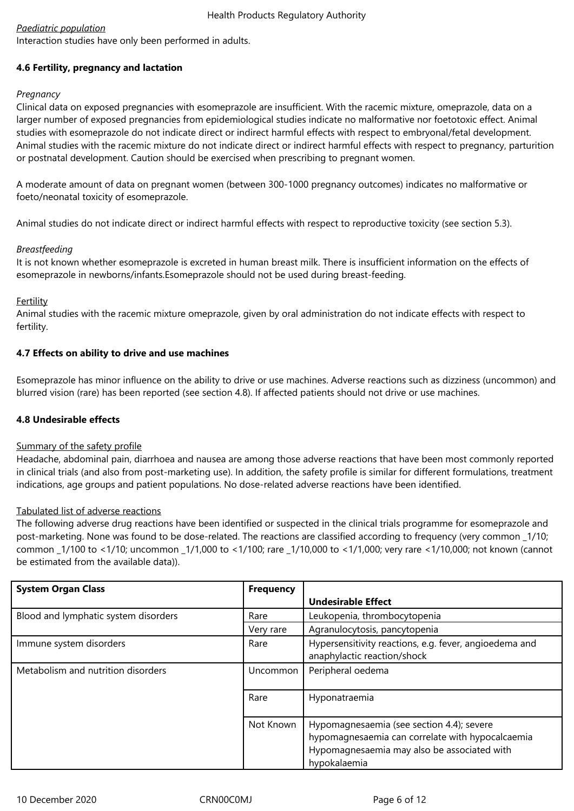# *Paediatric population*

Interaction studies have only been performed in adults.

# **4.6 Fertility, pregnancy and lactation**

# *Pregnancy*

Clinical data on exposed pregnancies with esomeprazole are insufficient. With the racemic mixture, omeprazole, data on a larger number of exposed pregnancies from epidemiological studies indicate no malformative nor foetotoxic effect. Animal studies with esomeprazole do not indicate direct or indirect harmful effects with respect to embryonal/fetal development. Animal studies with the racemic mixture do not indicate direct or indirect harmful effects with respect to pregnancy, parturition or postnatal development. Caution should be exercised when prescribing to pregnant women.

A moderate amount of data on pregnant women (between 300-1000 pregnancy outcomes) indicates no malformative or foeto/neonatal toxicity of esomeprazole.

Animal studies do not indicate direct or indirect harmful effects with respect to reproductive toxicity (see section 5.3).

# *Breastfeeding*

It is not known whether esomeprazole is excreted in human breast milk. There is insufficient information on the effects of esomeprazole in newborns/infants.Esomeprazole should not be used during breast-feeding.

# Fertility

Animal studies with the racemic mixture omeprazole, given by oral administration do not indicate effects with respect to fertility.

# **4.7 Effects on ability to drive and use machines**

Esomeprazole has minor influence on the ability to drive or use machines. Adverse reactions such as dizziness (uncommon) and blurred vision (rare) has been reported (see section 4.8). If affected patients should not drive or use machines.

### **4.8 Undesirable effects**

### Summary of the safety profile

Headache, abdominal pain, diarrhoea and nausea are among those adverse reactions that have been most commonly reported in clinical trials (and also from post-marketing use). In addition, the safety profile is similar for different formulations, treatment indications, age groups and patient populations. No dose-related adverse reactions have been identified.

### Tabulated list of adverse reactions

The following adverse drug reactions have been identified or suspected in the clinical trials programme for esomeprazole and post-marketing. None was found to be dose-related. The reactions are classified according to frequency (very common \_1/10; common \_1/100 to <1/10; uncommon \_1/1,000 to <1/100; rare \_1/10,000 to <1/1,000; very rare <1/10,000; not known (cannot be estimated from the available data)).

| <b>System Organ Class</b>            | <b>Frequency</b> |                                                                                                                                                              |
|--------------------------------------|------------------|--------------------------------------------------------------------------------------------------------------------------------------------------------------|
|                                      |                  | <b>Undesirable Effect</b>                                                                                                                                    |
| Blood and lymphatic system disorders | Rare             | Leukopenia, thrombocytopenia                                                                                                                                 |
|                                      | Very rare        | Agranulocytosis, pancytopenia                                                                                                                                |
| Immune system disorders              | Rare             | Hypersensitivity reactions, e.g. fever, angioedema and<br>anaphylactic reaction/shock                                                                        |
| Metabolism and nutrition disorders   | Uncommon         | Peripheral oedema                                                                                                                                            |
|                                      | Rare             | Hyponatraemia                                                                                                                                                |
|                                      | Not Known        | Hypomagnesaemia (see section 4.4); severe<br>hypomagnesaemia can correlate with hypocalcaemia<br>Hypomagnesaemia may also be associated with<br>hypokalaemia |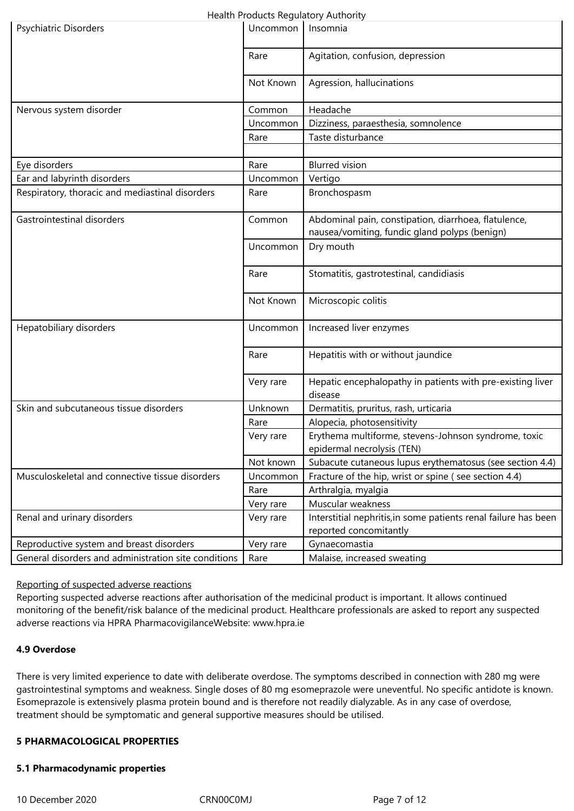| Health Products Regulatory Authority                 |           |                                                                                                       |  |  |
|------------------------------------------------------|-----------|-------------------------------------------------------------------------------------------------------|--|--|
| Psychiatric Disorders                                | Uncommon  | Insomnia                                                                                              |  |  |
|                                                      | Rare      | Agitation, confusion, depression                                                                      |  |  |
|                                                      | Not Known | Agression, hallucinations                                                                             |  |  |
| Nervous system disorder                              | Common    | Headache                                                                                              |  |  |
|                                                      | Uncommon  | Dizziness, paraesthesia, somnolence                                                                   |  |  |
|                                                      | Rare      | Taste disturbance                                                                                     |  |  |
|                                                      |           |                                                                                                       |  |  |
| Eye disorders                                        | Rare      | <b>Blurred</b> vision                                                                                 |  |  |
| Ear and labyrinth disorders                          | Uncommon  | Vertigo                                                                                               |  |  |
| Respiratory, thoracic and mediastinal disorders      | Rare      | Bronchospasm                                                                                          |  |  |
| Gastrointestinal disorders                           | Common    | Abdominal pain, constipation, diarrhoea, flatulence,<br>nausea/vomiting, fundic gland polyps (benign) |  |  |
|                                                      | Uncommon  | Dry mouth                                                                                             |  |  |
|                                                      | Rare      | Stomatitis, gastrotestinal, candidiasis                                                               |  |  |
|                                                      | Not Known | Microscopic colitis                                                                                   |  |  |
| Hepatobiliary disorders                              | Uncommon  | Increased liver enzymes                                                                               |  |  |
|                                                      | Rare      | Hepatitis with or without jaundice                                                                    |  |  |
|                                                      | Very rare | Hepatic encephalopathy in patients with pre-existing liver<br>disease                                 |  |  |
| Skin and subcutaneous tissue disorders               | Unknown   | Dermatitis, pruritus, rash, urticaria                                                                 |  |  |
|                                                      | Rare      | Alopecia, photosensitivity                                                                            |  |  |
|                                                      | Very rare | Erythema multiforme, stevens-Johnson syndrome, toxic                                                  |  |  |
|                                                      |           | epidermal necrolysis (TEN)                                                                            |  |  |
|                                                      | Not known | Subacute cutaneous lupus erythematosus (see section 4.4)                                              |  |  |
| Musculoskeletal and connective tissue disorders      | Uncommon  | Fracture of the hip, wrist or spine (see section 4.4)                                                 |  |  |
|                                                      | Rare      | Arthralgia, myalgia                                                                                   |  |  |
|                                                      | Very rare | Muscular weakness                                                                                     |  |  |
| Renal and urinary disorders                          | Very rare | Interstitial nephritis, in some patients renal failure has been                                       |  |  |
|                                                      |           | reported concomitantly                                                                                |  |  |
| Reproductive system and breast disorders             | Very rare | Gynaecomastia                                                                                         |  |  |
| General disorders and administration site conditions | Rare      | Malaise, increased sweating                                                                           |  |  |

### Reporting of suspected adverse reactions

Reporting suspected adverse reactions after authorisation of the medicinal product is important. It allows continued monitoring of the benefit/risk balance of the medicinal product. Healthcare professionals are asked to report any suspected adverse reactions via HPRA PharmacovigilanceWebsite: www.hpra.ie

### **4.9 Overdose**

There is very limited experience to date with deliberate overdose. The symptoms described in connection with 280 mg were gastrointestinal symptoms and weakness. Single doses of 80 mg esomeprazole were uneventful. No specific antidote is known. Esomeprazole is extensively plasma protein bound and is therefore not readily dialyzable. As in any case of overdose, treatment should be symptomatic and general supportive measures should be utilised.

## **5 PHARMACOLOGICAL PROPERTIES**

### **5.1 Pharmacodynamic properties**

10 December 2020 CRN00C0MJ Page 7 of 12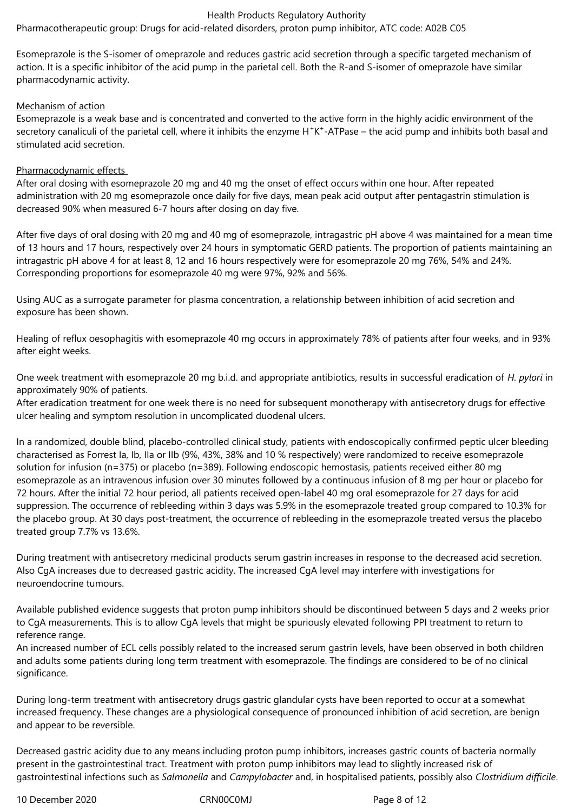### Health Products Regulatory Authority

Pharmacotherapeutic group: Drugs for acid-related disorders, proton pump inhibitor, ATC code: A02B C05

Esomeprazole is the S‑isomer of omeprazole and reduces gastric acid secretion through a specific targeted mechanism of action. It is a specific inhibitor of the acid pump in the parietal cell. Both the R-and S-isomer of omeprazole have similar pharmacodynamic activity.

# Mechanism of action

Esomeprazole is a weak base and is concentrated and converted to the active form in the highly acidic environment of the secretory canaliculi of the parietal cell, where it inhibits the enzyme H<sup>+</sup>K<sup>+</sup>-ATPase – the acid pump and inhibits both basal and stimulated acid secretion.

# Pharmacodynamic effects

After oral dosing with esomeprazole 20 mg and 40 mg the onset of effect occurs within one hour. After repeated administration with 20 mg esomeprazole once daily for five days, mean peak acid output after pentagastrin stimulation is decreased 90% when measured 6‑7 hours after dosing on day five.

After five days of oral dosing with 20 mg and 40 mg of esomeprazole, intragastric pH above 4 was maintained for a mean time of 13 hours and 17 hours, respectively over 24 hours in symptomatic GERD patients. The proportion of patients maintaining an intragastric pH above 4 for at least 8, 12 and 16 hours respectively were for esomeprazole 20 mg 76%, 54% and 24%. Corresponding proportions for esomeprazole 40 mg were 97%, 92% and 56%.

Using AUC as a surrogate parameter for plasma concentration, a relationship between inhibition of acid secretion and exposure has been shown.

Healing of reflux oesophagitis with esomeprazole 40 mg occurs in approximately 78% of patients after four weeks, and in 93% after eight weeks.

One week treatment with esomeprazole 20 mg b.i.d. and appropriate antibiotics, results in successful eradication of *H. pylori* in approximately 90% of patients.

After eradication treatment for one week there is no need for subsequent monotherapy with antisecretory drugs for effective ulcer healing and symptom resolution in uncomplicated duodenal ulcers.

In a randomized, double blind, placebo‑controlled clinical study, patients with endoscopically confirmed peptic ulcer bleeding characterised as Forrest Ia, Ib, IIa or IIb (9%, 43%, 38% and 10 % respectively) were randomized to receive esomeprazole solution for infusion (n=375) or placebo (n=389). Following endoscopic hemostasis, patients received either 80 mg esomeprazole as an intravenous infusion over 30 minutes followed by a continuous infusion of 8 mg per hour or placebo for 72 hours. After the initial 72 hour period, all patients received open‑label 40 mg oral esomeprazole for 27 days for acid suppression. The occurrence of rebleeding within 3 days was 5.9% in the esomeprazole treated group compared to 10.3% for the placebo group. At 30 days post-treatment, the occurrence of rebleeding in the esomeprazole treated versus the placebo treated group 7.7% vs 13.6%.

During treatment with antisecretory medicinal products serum gastrin increases in response to the decreased acid secretion. Also CgA increases due to decreased gastric acidity. The increased CgA level may interfere with investigations for neuroendocrine tumours.

Available published evidence suggests that proton pump inhibitors should be discontinued between 5 days and 2 weeks prior to CgA measurements. This is to allow CgA levels that might be spuriously elevated following PPI treatment to return to reference range.

An increased number of ECL cells possibly related to the increased serum gastrin levels, have been observed in both children and adults some patients during long term treatment with esomeprazole. The findings are considered to be of no clinical significance.

During long-term treatment with antisecretory drugs gastric glandular cysts have been reported to occur at a somewhat increased frequency. These changes are a physiological consequence of pronounced inhibition of acid secretion, are benign and appear to be reversible.

Decreased gastric acidity due to any means including proton pump inhibitors, increases gastric counts of bacteria normally present in the gastrointestinal tract. Treatment with proton pump inhibitors may lead to slightly increased risk of gastrointestinal infections such as *Salmonella* and *Campylobacter* and, in hospitalised patients, possibly also *Clostridium difficile*.

10 December 2020 CRN00C0MJ Page 8 of 12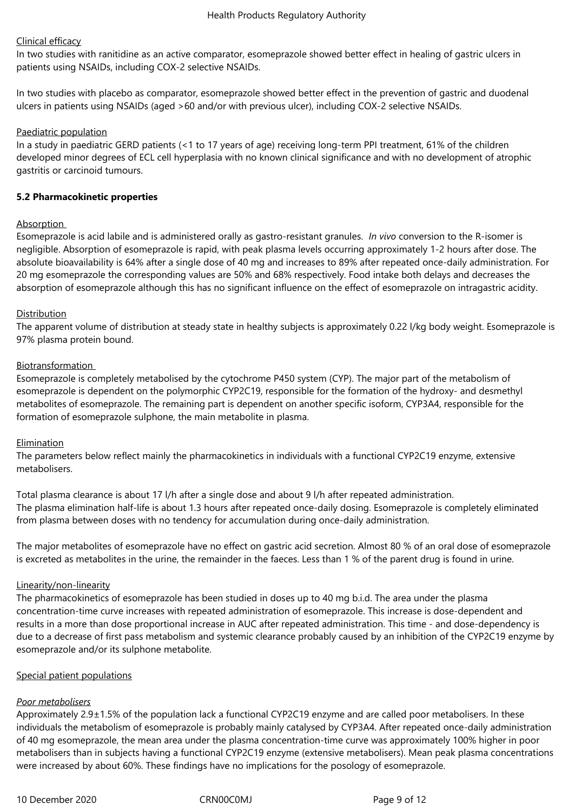# Clinical efficacy

In two studies with ranitidine as an active comparator, esomeprazole showed better effect in healing of gastric ulcers in patients using NSAIDs, including COX‑2 selective NSAIDs.

In two studies with placebo as comparator, esomeprazole showed better effect in the prevention of gastric and duodenal ulcers in patients using NSAIDs (aged >60 and/or with previous ulcer), including COX‑2 selective NSAIDs.

## Paediatric population

In a study in paediatric GERD patients (<1 to 17 years of age) receiving long-term PPI treatment, 61% of the children developed minor degrees of ECL cell hyperplasia with no known clinical significance and with no development of atrophic gastritis or carcinoid tumours.

## **5.2 Pharmacokinetic properties**

# Absorption

Esomeprazole is acid labile and is administered orally as gastro‑resistant granules. *In vivo* conversion to the R‑isomer is negligible. Absorption of esomeprazole is rapid, with peak plasma levels occurring approximately 1‑2 hours after dose. The absolute bioavailability is 64% after a single dose of 40 mg and increases to 89% after repeated once-daily administration. For 20 mg esomeprazole the corresponding values are 50% and 68% respectively. Food intake both delays and decreases the absorption of esomeprazole although this has no significant influence on the effect of esomeprazole on intragastric acidity.

# Distribution

The apparent volume of distribution at steady state in healthy subjects is approximately 0.22 l/kg body weight. Esomeprazole is 97% plasma protein bound.

# Biotransformation

Esomeprazole is completely metabolised by the cytochrome P450 system (CYP). The major part of the metabolism of esomeprazole is dependent on the polymorphic CYP2C19, responsible for the formation of the hydroxy- and desmethyl metabolites of esomeprazole. The remaining part is dependent on another specific isoform, CYP3A4, responsible for the formation of esomeprazole sulphone, the main metabolite in plasma.

### Elimination

The parameters below reflect mainly the pharmacokinetics in individuals with a functional CYP2C19 enzyme, extensive metabolisers.

Total plasma clearance is about 17 l/h after a single dose and about 9 l/h after repeated administration. The plasma elimination half‑life is about 1.3 hours after repeated once‑daily dosing. Esomeprazole is completely eliminated from plasma between doses with no tendency for accumulation during once-daily administration.

The major metabolites of esomeprazole have no effect on gastric acid secretion. Almost 80 % of an oral dose of esomeprazole is excreted as metabolites in the urine, the remainder in the faeces. Less than 1 % of the parent drug is found in urine.

### Linearity/non-linearity

The pharmacokinetics of esomeprazole has been studied in doses up to 40 mg b.i.d. The area under the plasma concentration-time curve increases with repeated administration of esomeprazole. This increase is dose-dependent and results in a more than dose proportional increase in AUC after repeated administration. This time - and dose-dependency is due to a decrease of first pass metabolism and systemic clearance probably caused by an inhibition of the CYP2C19 enzyme by esomeprazole and/or its sulphone metabolite.

### Special patient populations

### *Poor metabolisers*

Approximately 2.9±1.5% of the population lack a functional CYP2C19 enzyme and are called poor metabolisers. In these individuals the metabolism of esomeprazole is probably mainly catalysed by CYP3A4. After repeated once-daily administration of 40 mg esomeprazole, the mean area under the plasma concentration-time curve was approximately 100% higher in poor metabolisers than in subjects having a functional CYP2C19 enzyme (extensive metabolisers). Mean peak plasma concentrations were increased by about 60%. These findings have no implications for the posology of esomeprazole.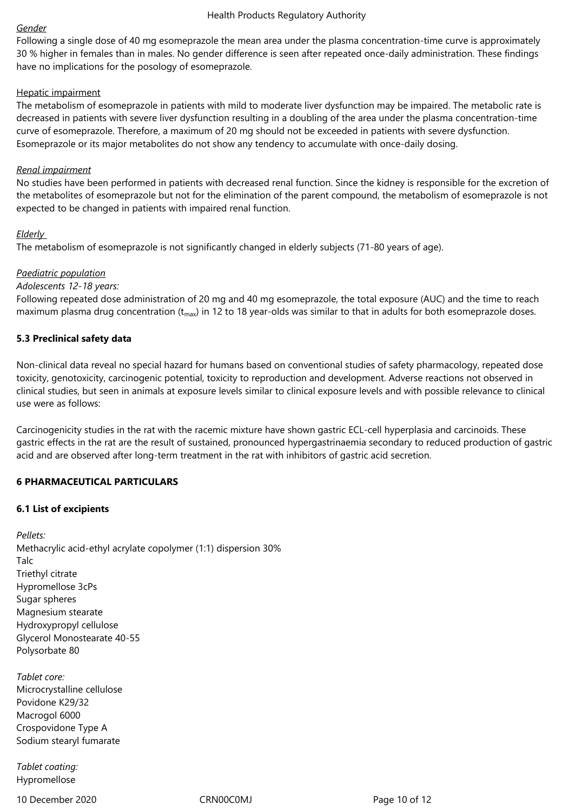### *Gender*

Following a single dose of 40 mg esomeprazole the mean area under the plasma concentration-time curve is approximately 30 % higher in females than in males. No gender difference is seen after repeated once‑daily administration. These findings have no implications for the posology of esomeprazole.

### Hepatic impairment

The metabolism of esomeprazole in patients with mild to moderate liver dysfunction may be impaired. The metabolic rate is decreased in patients with severe liver dysfunction resulting in a doubling of the area under the plasma concentration-time curve of esomeprazole. Therefore, a maximum of 20 mg should not be exceeded in patients with severe dysfunction. Esomeprazole or its major metabolites do not show any tendency to accumulate with once-daily dosing.

### *Renal impairment*

No studies have been performed in patients with decreased renal function. Since the kidney is responsible for the excretion of the metabolites of esomeprazole but not for the elimination of the parent compound, the metabolism of esomeprazole is not expected to be changed in patients with impaired renal function.

### *Elderly*

The metabolism of esomeprazole is not significantly changed in elderly subjects (71‑80 years of age).

# *Paediatric population*

### *Adolescents 12‑18 years:*

Following repeated dose administration of 20 mg and 40 mg esomeprazole, the total exposure (AUC) and the time to reach maximum plasma drug concentration ( $t_{max}$ ) in 12 to 18 year-olds was similar to that in adults for both esomeprazole doses.

### **5.3 Preclinical safety data**

Non-clinical data reveal no special hazard for humans based on conventional studies of safety pharmacology, repeated dose toxicity, genotoxicity, carcinogenic potential, toxicity to reproduction and development. Adverse reactions not observed in clinical studies, but seen in animals at exposure levels similar to clinical exposure levels and with possible relevance to clinical use were as follows:

Carcinogenicity studies in the rat with the racemic mixture have shown gastric ECL‑cell hyperplasia and carcinoids. These gastric effects in the rat are the result of sustained, pronounced hypergastrinaemia secondary to reduced production of gastric acid and are observed after long-term treatment in the rat with inhibitors of gastric acid secretion.

### **6 PHARMACEUTICAL PARTICULARS**

### **6.1 List of excipients**

*Pellets:* Methacrylic acid-ethyl acrylate copolymer (1:1) dispersion 30% Talc Triethyl citrate Hypromellose 3cPs Sugar spheres Magnesium stearate Hydroxypropyl cellulose Glycerol Monostearate 40-55 Polysorbate 80

*Tablet core:* Microcrystalline cellulose Povidone K29/32 Macrogol 6000 Crospovidone Type A Sodium stearyl fumarate

*Tablet coating:* Hypromellose

10 December 2020 CRN00C0MJ Page 10 of 12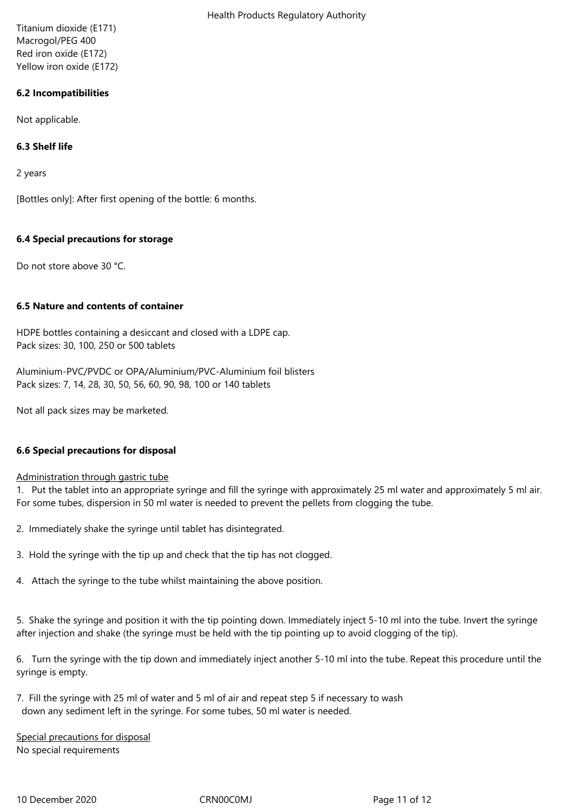Titanium dioxide (E171) Macrogol/PEG 400 Red iron oxide (E172) Yellow iron oxide (E172)

# **6.2 Incompatibilities**

Not applicable.

# **6.3 Shelf life**

2 years

[Bottles only]: After first opening of the bottle: 6 months.

# **6.4 Special precautions for storage**

Do not store above 30 °C.

### **6.5 Nature and contents of container**

HDPE bottles containing a desiccant and closed with a LDPE cap. Pack sizes: 30, 100, 250 or 500 tablets

Aluminium-PVC/PVDC or OPA/Aluminium/PVC-Aluminium foil blisters Pack sizes: 7, 14, 28, 30, 50, 56, 60, 90, 98, 100 or 140 tablets

Not all pack sizes may be marketed.

### **6.6 Special precautions for disposal**

### Administration through gastric tube

1. Put the tablet into an appropriate syringe and fill the syringe with approximately 25 ml water and approximately 5 ml air. For some tubes, dispersion in 50 ml water is needed to prevent the pellets from clogging the tube.

- 2. Immediately shake the syringe until tablet has disintegrated.
- 3. Hold the syringe with the tip up and check that the tip has not clogged.
- 4. Attach the syringe to the tube whilst maintaining the above position.

5. Shake the syringe and position it with the tip pointing down. Immediately inject 5-10 ml into the tube. Invert the syringe after injection and shake (the syringe must be held with the tip pointing up to avoid clogging of the tip).

6. Turn the syringe with the tip down and immediately inject another 5-10 ml into the tube. Repeat this procedure until the syringe is empty.

7. Fill the syringe with 25 ml of water and 5 ml of air and repeat step 5 if necessary to wash down any sediment left in the syringe. For some tubes, 50 ml water is needed.

Special precautions for disposal No special requirements